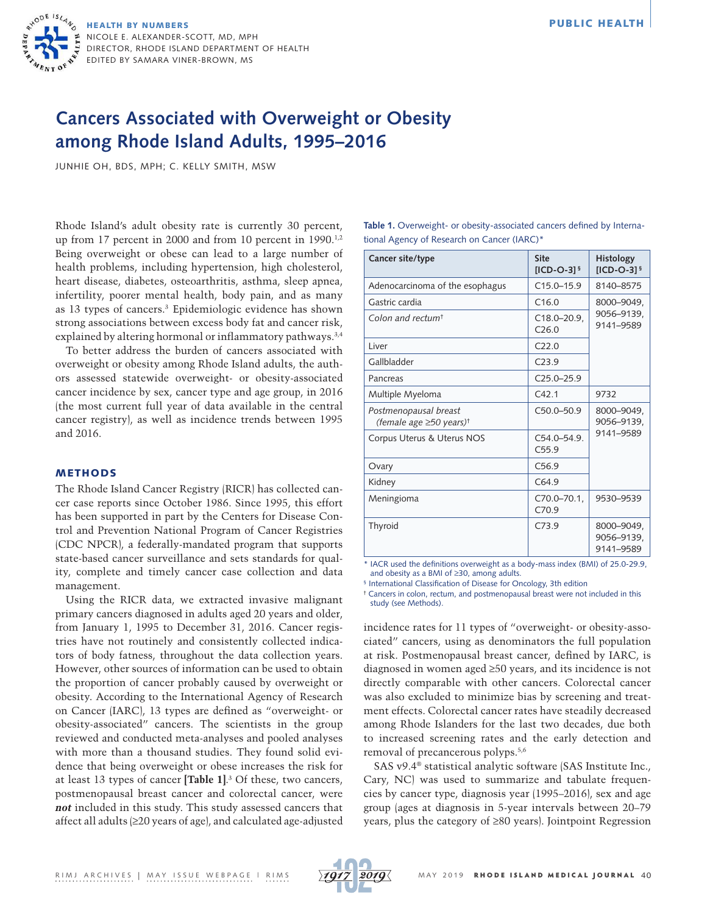

# **Cancers Associated with Overweight or Obesity**

**among Rhode Island Adults, 1995–2016**

JUNHIE OH, BDS, MPH; C. KELLY SMITH, MSW

Rhode Island's adult obesity rate is currently 30 percent, up from 17 percent in 2000 and from 10 percent in 1990.<sup>1,2</sup> Being overweight or obese can lead to a large number of health problems, including hypertension, high cholesterol, heart disease, diabetes, osteoarthritis, asthma, sleep apnea, infertility, poorer mental health, body pain, and as many as 13 types of cancers.3 Epidemiologic evidence has shown strong associations between excess body fat and cancer risk, explained by altering hormonal or inflammatory pathways.<sup>3,4</sup>

To better address the burden of cancers associated with overweight or obesity among Rhode Island adults, the authors assessed statewide overweight- or obesity-associated cancer incidence by sex, cancer type and age group, in 2016 (the most current full year of data available in the central cancer registry), as well as incidence trends between 1995 and 2016.

# METHODS

The Rhode Island Cancer Registry (RICR) has collected cancer case reports since October 1986. Since 1995, this effort has been supported in part by the Centers for Disease Control and Prevention National Program of Cancer Registries (CDC NPCR), a federally-mandated program that supports state-based cancer surveillance and sets standards for quality, complete and timely cancer case collection and data management.

Using the RICR data, we extracted invasive malignant primary cancers diagnosed in adults aged 20 years and older, from January 1, 1995 to December 31, 2016. Cancer registries have not routinely and consistently collected indicators of body fatness, throughout the data collection years. However, other sources of information can be used to obtain the proportion of cancer probably caused by overweight or obesity. According to the International Agency of Research on Cancer (IARC), 13 types are defined as "overweight- or obesity-associated" cancers. The scientists in the group reviewed and conducted meta-analyses and pooled analyses with more than a thousand studies. They found solid evidence that being overweight or obese increases the risk for at least 13 types of cancer **[Table 1]**. 3 Of these, two cancers, postmenopausal breast cancer and colorectal cancer, were *not* included in this study. This study assessed cancers that affect all adults (≥20 years of age), and calculated age-adjusted

| Table 1. Overweight- or obesity-associated cancers defined by Interna- |  |
|------------------------------------------------------------------------|--|
| tional Agency of Research on Cancer (IARC)*                            |  |

| Cancer site/type                                             | <b>Site</b><br>$IICD-O-31§$          | Histology<br>$[ICD-O-3]$ <sup>§</sup> |  |
|--------------------------------------------------------------|--------------------------------------|---------------------------------------|--|
| Adenocarcinoma of the esophagus                              | $C15.0 - 15.9$                       | 8140-8575                             |  |
| Gastric cardia                                               | C16.0                                | 8000-9049,<br>9056-9139,<br>9141-9589 |  |
| Colon and rectum <sup>t</sup>                                | $C18.0 - 20.9.$<br>C <sub>26.0</sub> |                                       |  |
| Liver                                                        | C <sub>22.0</sub>                    |                                       |  |
| Gallbladder                                                  | C <sub>23.9</sub>                    |                                       |  |
| Pancreas                                                     | $C25.0 - 25.9$                       |                                       |  |
| Multiple Myeloma                                             | C42.1                                | 9732                                  |  |
| Postmenopausal breast<br>(female age ≥50 years) <sup>†</sup> | $C50.0 - 50.9$                       | 8000-9049,<br>9056-9139,<br>9141-9589 |  |
| Corpus Uterus & Uterus NOS                                   | $C54.0 - 54.9$<br>C55.9              |                                       |  |
| Ovary                                                        | C <sub>569</sub>                     |                                       |  |
| Kidney                                                       | C64.9                                |                                       |  |
| Meningioma                                                   | $C70.0 - 70.1$ .<br>C709             | 9530-9539                             |  |
| Thyroid                                                      | C73.9                                | 8000-9049,<br>9056-9139.<br>9141-9589 |  |

\* IACR used the definitions overweight as a body-mass index (BMI) of 25.0-29.9, and obesity as a BMI of  $\geq$ 30, among adults.

<sup>§</sup> International Classification of Disease for Oncology, 3th edition

† Cancers in colon, rectum, and postmenopausal breast were not included in this study (see Methods).

incidence rates for 11 types of "overweight- or obesity-associated" cancers, using as denominators the full population at risk. Postmenopausal breast cancer, defined by IARC, is diagnosed in women aged ≥50 years, and its incidence is not directly comparable with other cancers. Colorectal cancer was also excluded to minimize bias by screening and treatment effects. Colorectal cancer rates have steadily decreased among Rhode Islanders for the last two decades, due both to increased screening rates and the early detection and removal of precancerous polyps.5,6

SAS v9.4® statistical analytic software (SAS Institute Inc., Cary, NC) was used to summarize and tabulate frequencies by cancer type, diagnosis year (1995–2016), sex and age group (ages at diagnosis in 5-year intervals between 20–79 years, plus the category of ≥80 years). Jointpoint Regression

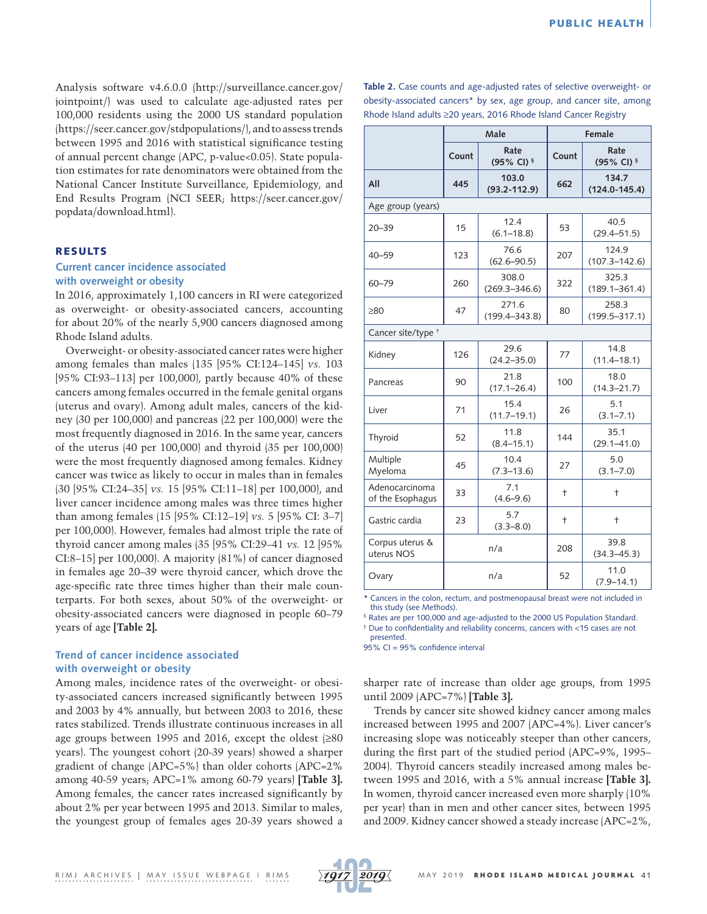Analysis software v4.6.0.0 ([http://surveillance.cancer.gov/](http://surveillance.cancer.gov/jointpoint/) [jointpoint/](http://surveillance.cancer.gov/jointpoint/)) was used to calculate age-adjusted rates per 100,000 residents using the 2000 US standard population ([https://seer.cancer.gov/stdpopulations/\)](https://seer.cancer.gov/stdpopulations/), and to assess trends between 1995 and 2016 with statistical significance testing of annual percent change (APC, p-value<0.05). State population estimates for rate denominators were obtained from the National Cancer Institute Surveillance, Epidemiology, and End Results Program (NCI SEER; [https://seer.cancer.gov/](https://seer.cancer.gov/popdata/download.html) [popdata/download.html\)](https://seer.cancer.gov/popdata/download.html).

## RESULTS

# **Current cancer incidence associated with overweight or obesity**

In 2016, approximately 1,100 cancers in RI were categorized as overweight- or obesity-associated cancers, accounting for about 20% of the nearly 5,900 cancers diagnosed among Rhode Island adults.

Overweight- or obesity-associated cancer rates were higher among females than males (135 [95% CI:124–145] *vs.* 103 [95% CI:93–113] per 100,000), partly because 40% of these cancers among females occurred in the female genital organs (uterus and ovary). Among adult males, cancers of the kidney (30 per 100,000) and pancreas (22 per 100,000) were the most frequently diagnosed in 2016. In the same year, cancers of the uterus (40 per 100,000) and thyroid (35 per 100,000) were the most frequently diagnosed among females. Kidney cancer was twice as likely to occur in males than in females (30 [95% CI:24–35] *vs.* 15 [95% CI:11–18] per 100,000), and liver cancer incidence among males was three times higher than among females (15 [95% CI:12–19] *vs.* 5 [95% CI: 3–7] per 100,000). However, females had almost triple the rate of thyroid cancer among males (35 [95% CI:29–41 *vs.* 12 [95% CI:8–15] per 100,000). A majority (81%) of cancer diagnosed in females age 20–39 were thyroid cancer, which drove the age-specific rate three times higher than their male counterparts. For both sexes, about 50% of the overweight- or obesity-associated cancers were diagnosed in people 60–79 years of age **[Table 2].** 

# **Trend of cancer incidence associated with overweight or obesity**

Among males, incidence rates of the overweight- or obesity-associated cancers increased significantly between 1995 and 2003 by 4% annually, but between 2003 to 2016, these rates stabilized. Trends illustrate continuous increases in all age groups between 1995 and 2016, except the oldest (≥80 years). The youngest cohort (20-39 years) showed a sharper gradient of change (APC=5%) than older cohorts (APC=2% among 40-59 years; APC=1% among 60-79 years) **[Table 3].**  Among females, the cancer rates increased significantly by about 2% per year between 1995 and 2013. Similar to males, the youngest group of females ages 20-39 years showed a **Table 2.** Case counts and age-adjusted rates of selective overweight- or obesity-associated cancers\* by sex, age group, and cancer site, among Rhode Island adults ≥20 years, 2016 Rhode Island Cancer Registry

|                                    | Male  |                               | Female                     |                            |     |                         |  |
|------------------------------------|-------|-------------------------------|----------------------------|----------------------------|-----|-------------------------|--|
|                                    | Count | Rate<br>(95% CI) <sup>§</sup> | Count                      | Rate<br>(95% CI) §         |     |                         |  |
| All                                | 445   | 103.0<br>$(93.2 - 112.9)$     | 662                        | 134.7<br>$(124.0 - 145.4)$ |     |                         |  |
| Age group (years)                  |       |                               |                            |                            |     |                         |  |
| $20 - 39$                          | 15    | 12.4<br>$(6.1 - 18.8)$        | 53                         | 40.5<br>$(29.4 - 51.5)$    |     |                         |  |
| $40 - 59$                          | 123   | 76.6<br>$(62.6 - 90.5)$       | 207                        | 124.9<br>$(107.3 - 142.6)$ |     |                         |  |
| $60 - 79$                          | 260   | 308.0<br>$(269.3 - 346.6)$    | 322                        | 325.3<br>$(189.1 - 361.4)$ |     |                         |  |
| >80                                | 47    | 271.6<br>$(199.4 - 343.8)$    | 80                         | 258.3<br>$(199.5 - 317.1)$ |     |                         |  |
| Cancer site/type +                 |       |                               |                            |                            |     |                         |  |
| Kidney                             | 126   | 29.6<br>$(24.2 - 35.0)$       | 77                         | 14.8<br>$(11.4 - 18.1)$    |     |                         |  |
| Pancreas                           | 90    | 21.8<br>$(17.1 - 26.4)$       | 100                        | 18.0<br>$(14.3 - 21.7)$    |     |                         |  |
| Liver                              | 71    | 15.4<br>$(11.7 - 19.1)$       | 5.1<br>26<br>$(3.1 - 7.1)$ |                            |     |                         |  |
| Thyroid                            | 52    | 11.8<br>$(8.4 - 15.1)$        | 144                        | 35.1<br>$(29.1 - 41.0)$    |     |                         |  |
| Multiple<br>Myeloma                | 45    | 10.4<br>$(7.3 - 13.6)$        | 5.0<br>27<br>$(3.1 - 7.0)$ |                            |     |                         |  |
| Adenocarcinoma<br>of the Esophagus | 33    | 7.1<br>$(4.6 - 9.6)$          | $\ddagger$<br>$\ddagger$   |                            |     |                         |  |
| Gastric cardia                     | 23    | 5.7<br>$(3.3 - 8.0)$          | $\ddagger$                 | $\ddagger$                 |     |                         |  |
| Corpus uterus &<br>uterus NOS      | n/a   |                               |                            |                            | 208 | 39.8<br>$(34.3 - 45.3)$ |  |
| Ovary                              |       | n/a                           | 52                         | 11.0<br>$(7.9 - 14.1)$     |     |                         |  |

**\*** Cancers in the colon, rectum, and postmenopausal breast were not included in this study (see Methods).

§ Rates are per 100,000 and age-adjusted to the 2000 US Population Standard. † Due to confidentiality and reliability concerns, cancers with <15 cases are not

presented.

95% CI = 95% confidence interval

sharper rate of increase than older age groups, from 1995 until 2009 (APC=7%) **[Table 3].**

Trends by cancer site showed kidney cancer among males increased between 1995 and 2007 (APC=4%). Liver cancer's increasing slope was noticeably steeper than other cancers, during the first part of the studied period (APC=9%, 1995– 2004). Thyroid cancers steadily increased among males between 1995 and 2016, with a 5% annual increase **[Table 3].**  In women, thyroid cancer increased even more sharply (10% per year) than in men and other cancer sites, between 1995 and 2009. Kidney cancer showed a steady increase (APC=2%,

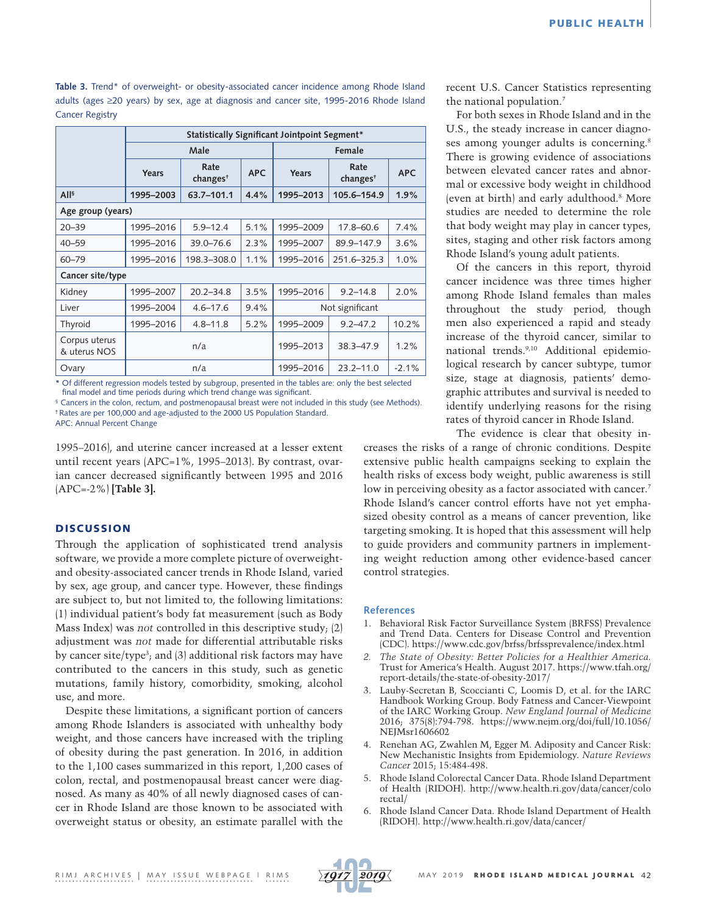Table 3. Trend<sup>\*</sup> of overweight- or obesity-associated cancer incidence among Rhode Island adults (ages ≥20 years) by sex, age at diagnosis and cancer site, 1995-2016 Rhode Island Cancer Registry

|                               | Statistically Significant Jointpoint Segment* |                             |            |                 |                             |            |  |  |  |
|-------------------------------|-----------------------------------------------|-----------------------------|------------|-----------------|-----------------------------|------------|--|--|--|
|                               | Male                                          |                             |            | Female          |                             |            |  |  |  |
|                               | Years                                         | Rate<br>change <sup>†</sup> | <b>APC</b> | Years           | Rate<br>change <sup>†</sup> | <b>APC</b> |  |  |  |
| All <sup>5</sup>              | 1995-2003                                     | 63.7-101.1                  | 4.4%       | 1995-2013       | 105.6-154.9                 | 1.9%       |  |  |  |
| Age group (years)             |                                               |                             |            |                 |                             |            |  |  |  |
| $20 - 39$                     | 1995-2016                                     | $5.9 - 12.4$                | 5.1%       | 1995-2009       | $17.8 - 60.6$               | 7.4%       |  |  |  |
| $40 - 59$                     | 1995-2016                                     | 39.0-76.6                   | 2.3%       | 1995-2007       | 89.9-147.9                  | 3.6%       |  |  |  |
| $60 - 79$                     | 1995-2016                                     | 198.3-308.0                 | 1.1%       | 1995-2016       | 251.6-325.3                 | 1.0%       |  |  |  |
| Cancer site/type              |                                               |                             |            |                 |                             |            |  |  |  |
| Kidney                        | 1995-2007                                     | $20.2 - 34.8$               | 3.5%       | 1995-2016       | $9.2 - 14.8$                | 2.0%       |  |  |  |
| Liver                         | 1995-2004                                     | $4.6 - 17.6$                | 9.4%       | Not significant |                             |            |  |  |  |
| Thyroid                       | 1995-2016                                     | $4.8 - 11.8$                | 5.2%       | 1995-2009       | $9.2 - 47.2$                | 10.2%      |  |  |  |
| Corpus uterus<br>& uterus NOS | n/a                                           |                             |            | 1995-2013       | 38.3-47.9                   | 1.2%       |  |  |  |
| Ovary                         | n/a                                           |                             |            | 1995-2016       | $23.2 - 11.0$               | $-2.1%$    |  |  |  |

**\*** Of different regression models tested by subgroup, presented in the tables are: only the best selected final model and time periods during which trend change was significant.

<sup>§</sup> Cancers in the colon, rectum, and postmenopausal breast were not included in this study (see Methods). † Rates are per 100,000 and age-adjusted to the 2000 US Population Standard.

APC: Annual Percent Change

1995–2016), and uterine cancer increased at a lesser extent until recent years (APC=1%, 1995–2013). By contrast, ovarian cancer decreased significantly between 1995 and 2016 (APC=-2%) **[Table 3].** 

# **DISCUSSION**

Through the application of sophisticated trend analysis software, we provide a more complete picture of overweightand obesity-associated cancer trends in Rhode Island, varied by sex, age group, and cancer type. However, these findings are subject to, but not limited to, the following limitations: (1) individual patient's body fat measurement (such as Body Mass Index) was *not* controlled in this descriptive study; (2) adjustment was *not* made for differential attributable risks by cancer site/type<sup>3</sup>; and (3) additional risk factors may have contributed to the cancers in this study, such as genetic mutations, family history, comorbidity, smoking, alcohol use, and more.

Despite these limitations, a significant portion of cancers among Rhode Islanders is associated with unhealthy body weight, and those cancers have increased with the tripling of obesity during the past generation. In 2016, in addition to the 1,100 cases summarized in this report, 1,200 cases of colon, rectal, and postmenopausal breast cancer were diagnosed. As many as 40% of all newly diagnosed cases of cancer in Rhode Island are those known to be associated with overweight status or obesity, an estimate parallel with the recent U.S. Cancer Statistics representing the national population.7

For both sexes in Rhode Island and in the U.S., the steady increase in cancer diagnoses among younger adults is concerning.<sup>8</sup> There is growing evidence of associations between elevated cancer rates and abnormal or excessive body weight in childhood (even at birth) and early adulthood.8 More studies are needed to determine the role that body weight may play in cancer types, sites, staging and other risk factors among Rhode Island's young adult patients.

Of the cancers in this report, thyroid cancer incidence was three times higher among Rhode Island females than males throughout the study period, though men also experienced a rapid and steady increase of the thyroid cancer, similar to national trends.9,10 Additional epidemiological research by cancer subtype, tumor size, stage at diagnosis, patients' demographic attributes and survival is needed to identify underlying reasons for the rising rates of thyroid cancer in Rhode Island.

The evidence is clear that obesity in-

creases the risks of a range of chronic conditions. Despite extensive public health campaigns seeking to explain the health risks of excess body weight, public awareness is still low in perceiving obesity as a factor associated with cancer.<sup>7</sup> Rhode Island's cancer control efforts have not yet emphasized obesity control as a means of cancer prevention, like targeting smoking. It is hoped that this assessment will help to guide providers and community partners in implementing weight reduction among other evidence-based cancer control strategies.

#### **References**

- 1. Behavioral Risk Factor Surveillance System (BRFSS) Prevalence and Trend Data. Centers for Disease Control and Prevention (CDC).<https://www.cdc.gov/brfss/brfssprevalence/index.html>
- *2. The State of Obesity: Better Policies for a Healthier America.*  Trust for America's Health. August 2017. [https://www.tfah.org/](https://www.tfah.org/report-details/the-state-of-obesity-2017/) [report-details/the-state-of-obesity-2017/](https://www.tfah.org/report-details/the-state-of-obesity-2017/)
- 3. Lauby-Secretan B, Scoccianti C, Loomis D, et al. for the IARC Handbook Working Group. Body Fatness and Cancer-Viewpoint of the IARC Working Group. *New England Journal of Medicine* 2016; 375(8):794-798. [https://www.nejm.org/doi/full/10.1056/](https://www.nejm.org/doi/full/10.1056/NEJMsr1606602) [NEJMsr1606602](https://www.nejm.org/doi/full/10.1056/NEJMsr1606602)
- 4. Renehan AG, Zwahlen M, Egger M. Adiposity and Cancer Risk: New Mechanistic Insights from Epidemiology. *Nature Reviews Cancer* 2015; 15:484-498.
- 5. Rhode Island Colorectal Cancer Data. Rhode Island Department of Health (RIDOH). [http://www.health.ri.gov/data/cancer/colo](http://www.health.ri.gov/data/cancer/colorectal/) [rectal/](http://www.health.ri.gov/data/cancer/colorectal/)
- 6. Rhode Island Cancer Data. Rhode Island Department of Health (RIDOH).<http://www.health.ri.gov/data/cancer/>